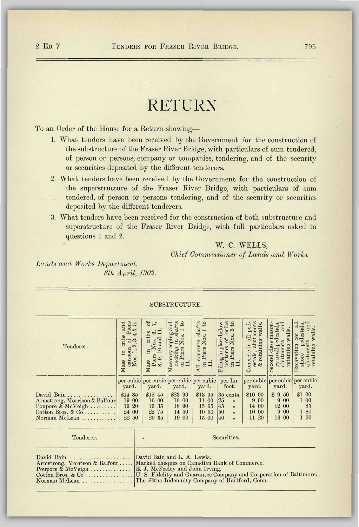## RETURN

To an Order of the House for a Return showing—

- 1. What tenders have been received by the Government for the construction of the substructure of the Fraser River Bridge, with particulars of sum tendered, of person or persons, company or companies, tendering, and of the security or securities deposited by the different tenderers.
- 2. What tenders have been received by the Government for the construction of the superstructure of the Fraser River Bridge, with particulars of sum tendered, of person or persons tendering, and of the security or securities deposited by the different tenderers.
- 3. What tenders have been received for the construction of both substructure and superstructure of the Fraser River Bridge, with full particulars asked in questions 1 and 2.

## W. C. WELLS,

*Chief Commissioner of Lands and Works.* 

*Lands and Works Department, 8th April, 1902.* 

SUBSTRUCTURE. **Masonry coping and** backing in shafts<br>backing in shafts<br>of Piers Nos. 1 to 1 concrete shafts cribs Concrete in all ped- estals, abutments  $\&$  retaining walls. caissons of Piers<br>Nos. 1, 2, 3, 4 & 5. caissons of Piers asonry coping and ling in place below bottoms of cribs in Piers Nos. 6 to & retaining walls. abutments and ccavation for all shore pedestals, abutments and in cribs and ass in cribs and Nos. 1, 2, 3,4 & 5. of. Piers Nos. 6, 7, backing in shafts of Piers Nos. 1 to in Piers Nos. 1 to ry in all pedestals, ass in cribs of Second class masoncond class masonry in all pedestals, and **Excavation** for all<br>shore pedestals, and retaining walls. walls. retaining walls. 8, 9, 10 and 11. retaining walls.  $\begin{minipage}{.4\linewidth} a but  
meaning we$ abutments Tenderer. backing if<br>of Piers N<br>11. Mass<br>
Mass<br>
caiss<br>
Nos<br>
Per cubic  $Mass$ 11. 11.  $\overline{A}$  $\mathsf{P}$ per cubic per lin. per cubic per cubic per cubic per cubic per cubic yard. yard. yard. yard. yard. yard. foot. yard. fl 00 David Bain ......... \$12 45 \$23 90 \$13 95 \$10 00 \$ 9 50 \$14 85 35 cents. Armstrong, Morrison & Balfour<br>Poupore & McVeigh ......... 9 00 19 00 16 00 16 00 11 00 25 » 9 00 1 00 19 20 16 35 18 90 15 65 45 *"*  14 00 12 00 85  $\begin{bmatrix} 50 & n \\ 40 & n \end{bmatrix}$ 9 00 Cotton Bros. & Co..........<br>Norman McLean .......... 24 00 22 75 14 50 10 50 10 00 1 80 20 35 40 *a*  16 00 1 00 22 50 19 00 15 00 11 20

| Tenderer.                                          | Securities.                                                                   |
|----------------------------------------------------|-------------------------------------------------------------------------------|
| Poupore & McVeigh  E. J. McFeeley and John Irving. | Armstrong, Morrison & Balfour    Marked cheques on Canadian Bank of Commerce. |